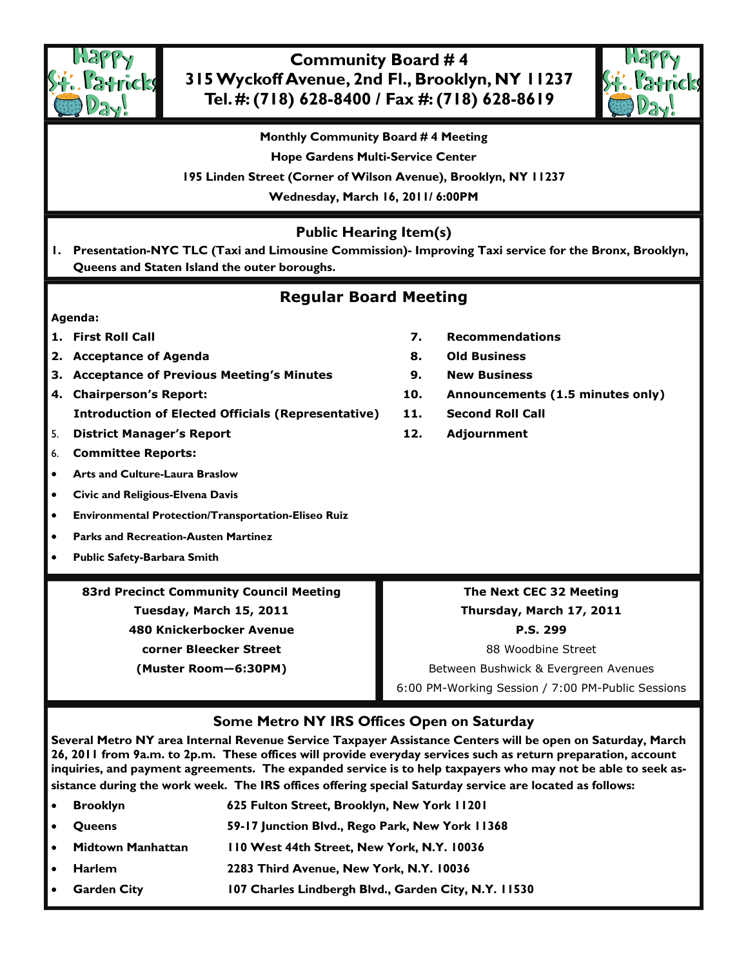

# **Community Board # 4 315 Wyckoff Avenue, 2nd Fl., Brooklyn, NY 11237 Tel. #: (718) 628-8400 / Fax #: (718) 628-8619**



**Monthly Community Board # 4 Meeting** 

**Hope Gardens Multi-Service Center** 

**195 Linden Street (Corner of Wilson Avenue), Brooklyn, NY 11237** 

**Wednesday, March 16, 2011/ 6:00PM** 

# **Public Hearing Item(s)**

**1. Presentation-NYC TLC (Taxi and Limousine Commission)- Improving Taxi service for the Bronx, Brooklyn, Queens and Staten Island the outer boroughs.** 

# **Regular Board Meeting**

### **Agenda:**

- 
- **2. Acceptance of Agenda 8. Old Business**
- **3. Acceptance of Previous Meeting's Minutes 9. New Business**
- **4. Chairperson's Report: 10. Announcements (1.5 minutes only) Introduction of Elected Officials (Representative) 11. Second Roll Call**
- 5. **District Manager's Report 12. Adjournment**
- 6. **Committee Reports:**
- **Arts and Culture-Laura Braslow**
- **Civic and Religious-Elvena Davis**
- **Environmental Protection/Transportation-Eliseo Ruiz**
- **Parks and Recreation-Austen Martinez**
- **Public Safety-Barbara Smith**

# **83rd Precinct Community Council Meeting Tuesday, March 15, 2011 480 Knickerbocker Avenue corner Bleecker Street (Muster Room—6:30PM)**

- **1. First Roll Call 7. Recommendations** 
	-
	-
	-
	-
	-

**Thursday, March 17, 2011 P.S. 299**  88 Woodbine Street Between Bushwick & Evergreen Avenues

**The Next CEC 32 Meeting** 

6:00 PM-Working Session / 7:00 PM-Public Sessions

# **Some Metro NY IRS Offices Open on Saturday**

**Several Metro NY area Internal Revenue Service Taxpayer Assistance Centers will be open on Saturday, March 26, 2011 from 9a.m. to 2p.m. These offices will provide everyday services such as return preparation, account inquiries, and payment agreements. The expanded service is to help taxpayers who may not be able to seek assistance during the work week. The IRS offices offering special Saturday service are located as follows:** 

• **Brooklyn 625 Fulton Street, Brooklyn, New York 11201**  • **Queens 59-17 Junction Blvd., Rego Park, New York 11368**  • **Midtown Manhattan 110 West 44th Street, New York, N.Y. 10036**  • **Harlem 2283 Third Avenue, New York, N.Y. 10036**  • **Garden City 107 Charles Lindbergh Blvd., Garden City, N.Y. 11530**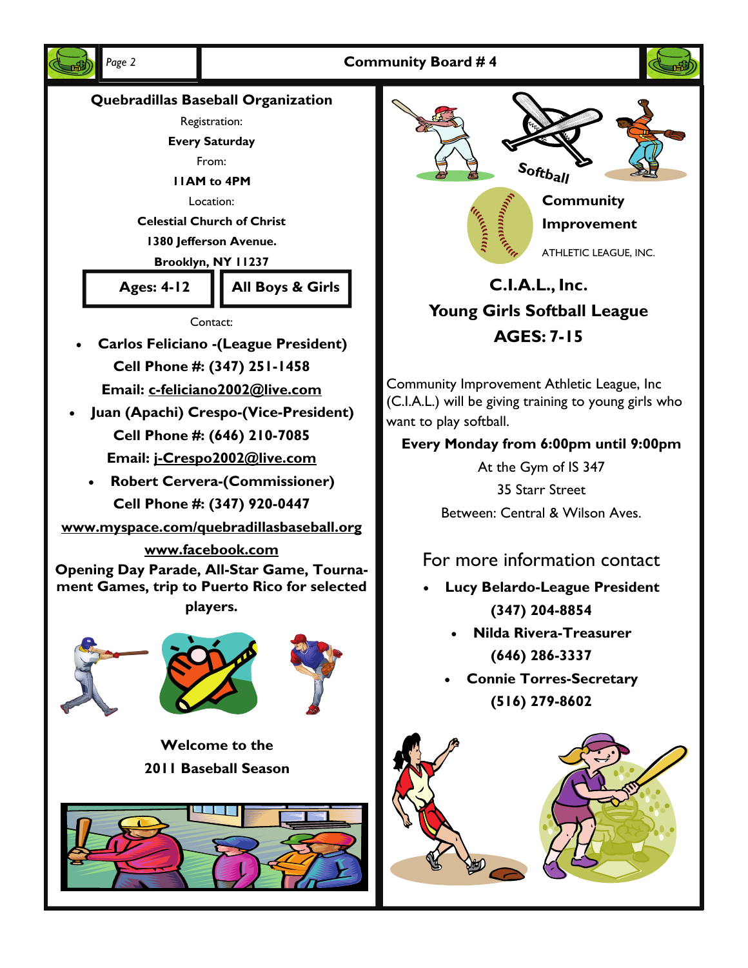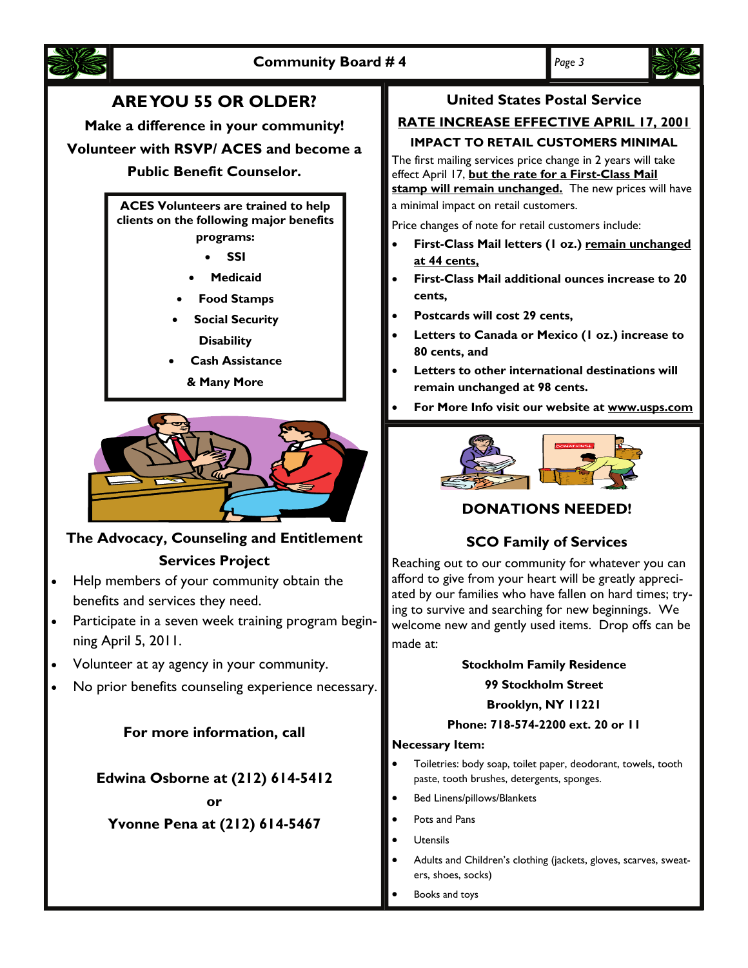

# **ARE YOU 55 OR OLDER?**

**Make a difference in your community!** 

**Volunteer with RSVP/ ACES and become a** 

# **Public Benefit Counselor.**

**ACES Volunteers are trained to help clients on the following major benefits programs:** 

• **SSI** 

- **Medicaid**
- **Food Stamps**
- **Social Security Disability**
- **Cash Assistance**

**& Many More** 



# **The Advocacy, Counseling and Entitlement**

### **Services Project**

- Help members of your community obtain the benefits and services they need.
- Participate in a seven week training program beginning April 5, 2011.
- Volunteer at ay agency in your community.
- No prior benefits counseling experience necessary.

# **For more information, call**

**Edwina Osborne at (212) 614-5412** 

**or** 

**Yvonne Pena at (212) 614-5467** 

# **United States Postal Service**

# **RATE INCREASE EFFECTIVE APRIL 17, 2001**

# **IMPACT TO RETAIL CUSTOMERS MINIMAL**

The first mailing services price change in 2 years will take effect April 17, **but the rate for a First-Class Mail stamp will remain unchanged.** The new prices will have a minimal impact on retail customers.

Price changes of note for retail customers include:

- **First-Class Mail letters (1 oz.) remain unchanged at 44 cents,**
- **First-Class Mail additional ounces increase to 20 cents,**
- **Postcards will cost 29 cents,**
- **Letters to Canada or Mexico (1 oz.) increase to 80 cents, and**
- **Letters to other international destinations will remain unchanged at 98 cents.**
- **For More Info visit our website at www.usps.com**



# **DONATIONS NEEDED!**

# **SCO Family of Services**

Reaching out to our community for whatever you can afford to give from your heart will be greatly appreciated by our families who have fallen on hard times; trying to survive and searching for new beginnings. We welcome new and gently used items. Drop offs can be made at:

#### **Stockholm Family Residence**

#### **99 Stockholm Street**

### **Brooklyn, NY 11221**

# **Phone: 718-574-2200 ext. 20 or 11**

#### **Necessary Item:**

- Toiletries: body soap, toilet paper, deodorant, towels, tooth paste, tooth brushes, detergents, sponges.
- Bed Linens/pillows/Blankets
- Pots and Pans
- Utensils
- Adults and Children's clothing (jackets, gloves, scarves, sweaters, shoes, socks)
- Books and toys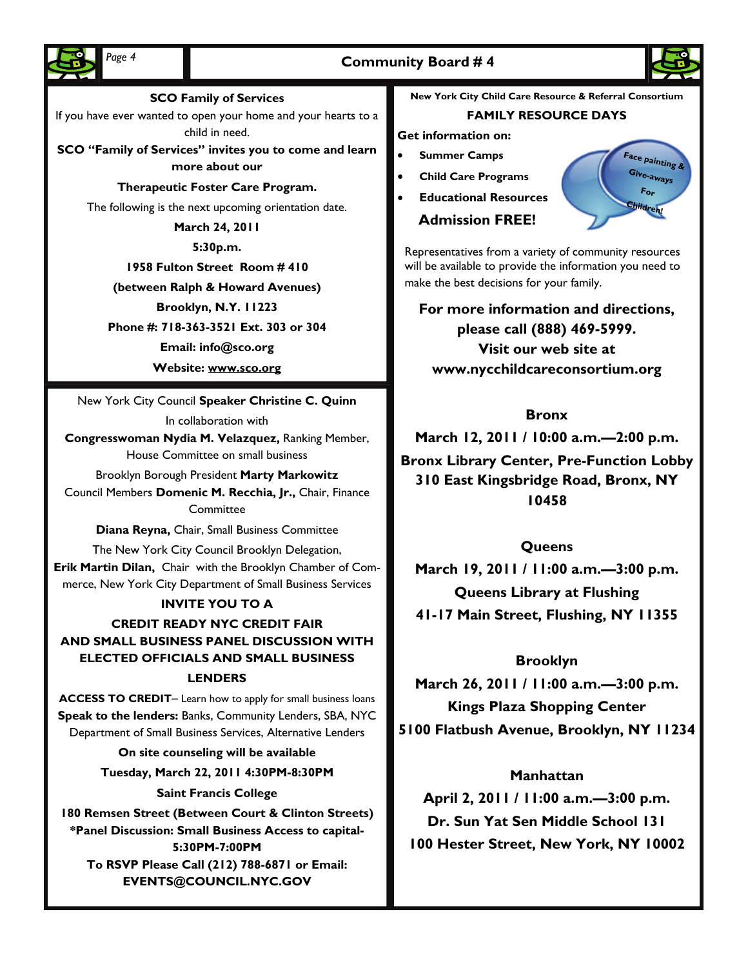# Page 4 **Community Board #4**





#### **SCO Family of Services**

If you have ever wanted to open your home and your hearts to a child in need.

**SCO "Family of Services" invites you to come and learn more about our** 

#### **Therapeutic Foster Care Program.**

The following is the next upcoming orientation date.

**March 24, 2011** 

**5:30p.m.** 

**1958 Fulton Street Room # 410** 

#### **(between Ralph & Howard Avenues)**

**Brooklyn, N.Y. 11223** 

**Phone #: 718-363-3521 Ext. 303 or 304** 

**Email: info@sco.org** 

**Website: www.sco.org**

New York City Council **Speaker Christine C. Quinn** 

In collaboration with

**Congresswoman Nydia M. Velazquez,** Ranking Member, House Committee on small business

Brooklyn Borough President **Marty Markowitz** 

Council Members **Domenic M. Recchia, Jr.,** Chair, Finance **Committee** 

**Diana Reyna,** Chair, Small Business Committee

The New York City Council Brooklyn Delegation, **Erik Martin Dilan,** Chair with the Brooklyn Chamber of Commerce, New York City Department of Small Business Services

#### **INVITE YOU TO A**

**CREDIT READY NYC CREDIT FAIR AND SMALL BUSINESS PANEL DISCUSSION WITH ELECTED OFFICIALS AND SMALL BUSINESS LENDERS** 

**ACCESS TO CREDIT**– Learn how to apply for small business loans **Speak to the lenders:** Banks, Community Lenders, SBA, NYC Department of Small Business Services, Alternative Lenders

> **On site counseling will be available Tuesday, March 22, 2011 4:30PM-8:30PM Saint Francis College**

**180 Remsen Street (Between Court & Clinton Streets) \*Panel Discussion: Small Business Access to capital-5:30PM-7:00PM To RSVP Please Call (212) 788-6871 or Email: EVENTS@COUNCIL.NYC.GOV** 

**New York City Child Care Resource & Referral Consortium** 

#### **FAMILY RESOURCE DAYS**

#### **Get information on:**

- **Summer Camps**
- **Child Care Programs**
- **Educational Resources**

# **Admission FREE!**



Representatives from a variety of community resources will be available to provide the information you need to make the best decisions for your family.

**For more information and directions, please call (888) 469-5999. Visit our web site at www.nycchildcareconsortium.org** 

### **Bronx**

**March 12, 2011 / 10:00 a.m.—2:00 p.m.** 

**Bronx Library Center, Pre-Function Lobby 310 East Kingsbridge Road, Bronx, NY 10458** 

### **Queens**

**March 19, 2011 / 11:00 a.m.—3:00 p.m. Queens Library at Flushing 41-17 Main Street, Flushing, NY 11355** 

### **Brooklyn**

**March 26, 2011 / 11:00 a.m.—3:00 p.m. Kings Plaza Shopping Center 5100 Flatbush Avenue, Brooklyn, NY 11234** 

# **Manhattan**

**April 2, 2011 / 11:00 a.m.—3:00 p.m. Dr. Sun Yat Sen Middle School 131 100 Hester Street, New York, NY 10002**